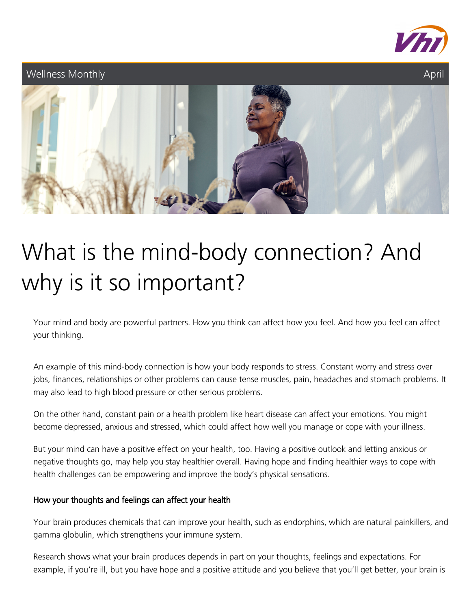

### Wellness Monthly



# What is the mind-body connection? And why is it so important?

Your mind and body are powerful partners. How you think can affect how you feel. And how you feel can affect your thinking.

An example of this mind-body connection is how your body responds to stress. Constant worry and stress over jobs, finances, relationships or other problems can cause tense muscles, pain, headaches and stomach problems. It may also lead to high blood pressure or other serious problems.

On the other hand, constant pain or a health problem like heart disease can affect your emotions. You might become depressed, anxious and stressed, which could affect how well you manage or cope with your illness.

But your mind can have a positive effect on your health, too. Having a positive outlook and letting anxious or negative thoughts go, may help you stay healthier overall. Having hope and finding healthier ways to cope with health challenges can be empowering and improve the body's physical sensations.

### How your thoughts and feelings can affect your health

Your brain produces chemicals that can improve your health, such as endorphins, which are natural painkillers, and gamma globulin, which strengthens your immune system.

Research shows what your brain produces depends in part on your thoughts, feelings and expectations. For example, if you're ill, but you have hope and a positive attitude and you believe that you'll get better, your brain is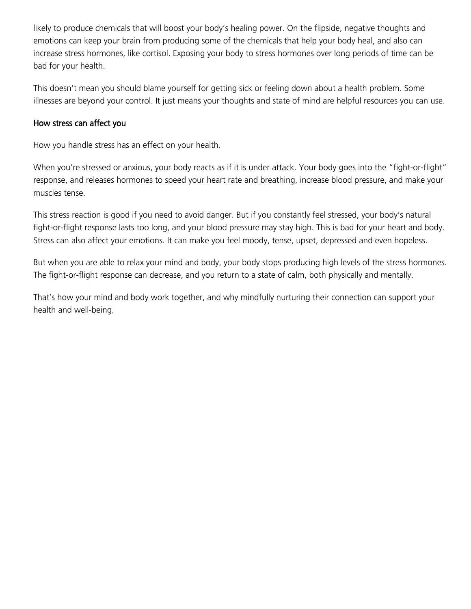likely to produce chemicals that will boost your body's healing power. On the flipside, negative thoughts and emotions can keep your brain from producing some of the chemicals that help your body heal, and also can increase stress hormones, like cortisol. Exposing your body to stress hormones over long periods of time can be bad for your health.

This doesn't mean you should blame yourself for getting sick or feeling down about a health problem. Some illnesses are beyond your control. It just means your thoughts and state of mind are helpful resources you can use.

#### How stress can affect you

How you handle stress has an effect on your health.

When you're stressed or anxious, your body reacts as if it is under attack. Your body goes into the "fight-or-flight" response, and releases hormones to speed your heart rate and breathing, increase blood pressure, and make your muscles tense.

This stress reaction is good if you need to avoid danger. But if you constantly feel stressed, your body's natural fight-or-flight response lasts too long, and your blood pressure may stay high. This is bad for your heart and body. Stress can also affect your emotions. It can make you feel moody, tense, upset, depressed and even hopeless.

But when you are able to relax your mind and body, your body stops producing high levels of the stress hormones. The fight-or-flight response can decrease, and you return to a state of calm, both physically and mentally.

That's how your mind and body work together, and why mindfully nurturing their connection can support your health and well-being.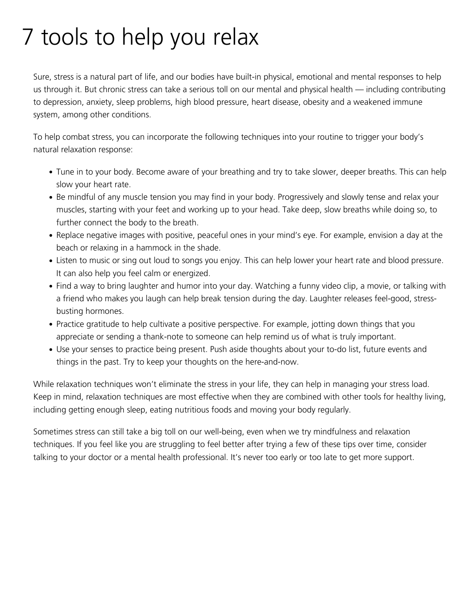## 7 tools to help you relax

Sure, stress is a natural part of life, and our bodies have built-in physical, emotional and mental responses to help us through it. But chronic stress can take a serious toll on our mental and physical health — including contributing to depression, anxiety, sleep problems, high blood pressure, heart disease, obesity and a weakened immune system, among other conditions.

To help combat stress, you can incorporate the following techniques into your routine to trigger your body's natural relaxation response:

- Tune in to your body. Become aware of your breathing and try to take slower, deeper breaths. This can help slow your heart rate.
- Be mindful of any muscle tension you may find in your body. Progressively and slowly tense and relax your muscles, starting with your feet and working up to your head. Take deep, slow breaths while doing so, to further connect the body to the breath.
- Replace negative images with positive, peaceful ones in your mind's eye. For example, envision a day at the beach or relaxing in a hammock in the shade.
- Listen to music or sing out loud to songs you enjoy. This can help lower your heart rate and blood pressure. It can also help you feel calm or energized.
- Find a way to bring laughter and humor into your day. Watching a funny video clip, a movie, or talking with a friend who makes you laugh can help break tension during the day. Laughter releases feel-good, stressbusting hormones.
- Practice gratitude to help cultivate a positive perspective. For example, jotting down things that you appreciate or sending a thank-note to someone can help remind us of what is truly important.
- Use your senses to practice being present. Push aside thoughts about your to-do list, future events and things in the past. Try to keep your thoughts on the here-and-now.

While relaxation techniques won't eliminate the stress in your life, they can help in managing your stress load. Keep in mind, relaxation techniques are most effective when they are combined with other tools for healthy living, including getting enough sleep, eating nutritious foods and moving your body regularly.

Sometimes stress can still take a big toll on our well-being, even when we try mindfulness and relaxation techniques. If you feel like you are struggling to feel better after trying a few of these tips over time, consider talking to your doctor or a mental health professional. It's never too early or too late to get more support.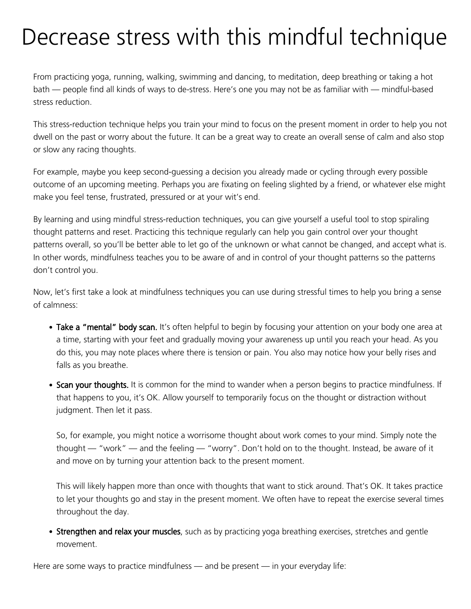## Decrease stress with this mindful technique

From practicing yoga, running, walking, swimming and dancing, to meditation, deep breathing or taking a hot bath — people find all kinds of ways to de-stress. Here's one you may not be as familiar with — mindful-based stress reduction.

This stress-reduction technique helps you train your mind to focus on the present moment in order to help you not dwell on the past or worry about the future. It can be a great way to create an overall sense of calm and also stop or slow any racing thoughts.

For example, maybe you keep second-guessing a decision you already made or cycling through every possible outcome of an upcoming meeting. Perhaps you are fixating on feeling slighted by a friend, or whatever else might make you feel tense, frustrated, pressured or at your wit's end.

By learning and using mindful stress-reduction techniques, you can give yourself a useful tool to stop spiraling thought patterns and reset. Practicing this technique regularly can help you gain control over your thought patterns overall, so you'll be better able to let go of the unknown or what cannot be changed, and accept what is. In other words, mindfulness teaches you to be aware of and in control of your thought patterns so the patterns don't control you.

Now, let's first take a look at mindfulness techniques you can use during stressful times to help you bring a sense of calmness:

- Take a "mental" body scan. It's often helpful to begin by focusing your attention on your body one area at a time, starting with your feet and gradually moving your awareness up until you reach your head. As you do this, you may note places where there is tension or pain. You also may notice how your belly rises and falls as you breathe.
- Scan your thoughts. It is common for the mind to wander when a person begins to practice mindfulness. If that happens to you, it's OK. Allow yourself to temporarily focus on the thought or distraction without judgment. Then let it pass.

So, for example, you might notice a worrisome thought about work comes to your mind. Simply note the thought — "work" — and the feeling — "worry". Don't hold on to the thought. Instead, be aware of it and move on by turning your attention back to the present moment.

This will likely happen more than once with thoughts that want to stick around. That's OK. It takes practice to let your thoughts go and stay in the present moment. We often have to repeat the exercise several times throughout the day.

• Strengthen and relax your muscles, such as by practicing yoga breathing exercises, stretches and gentle movement.

Here are some ways to practice mindfulness — and be present — in your everyday life: